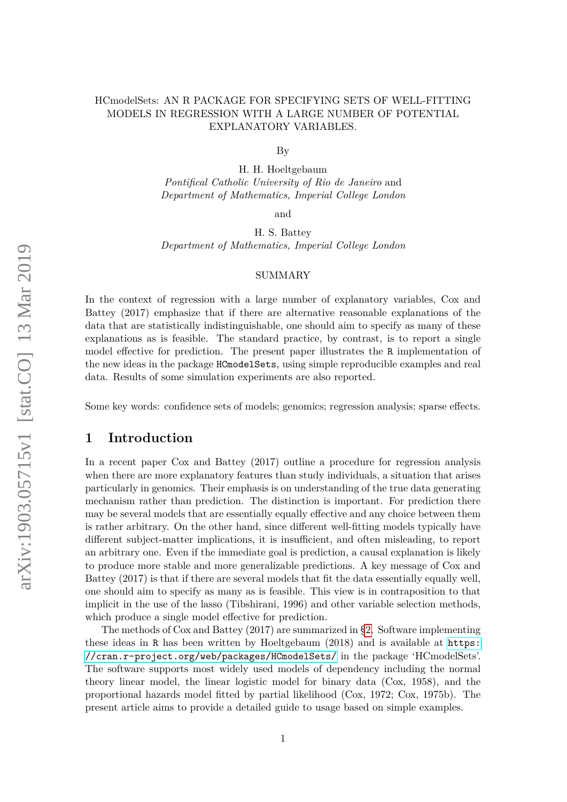## HCmodelSets: AN R PACKAGE FOR SPECIFYING SETS OF WELL-FITTING MODELS IN REGRESSION WITH A LARGE NUMBER OF POTENTIAL EXPLANATORY VARIABLES.

By

H. H. Hoeltgebaum *Pontifical Catholic University of Rio de Janeiro* and *Department of Mathematics, Imperial College London*

and

H. S. Battey *Department of Mathematics, Imperial College London*

### SUMMARY

In the context of regression with a large number of explanatory variables, Cox and Battey (2017) emphasize that if there are alternative reasonable explanations of the data that are statistically indistinguishable, one should aim to specify as many of these explanations as is feasible. The standard practice, by contrast, is to report a single model effective for prediction. The present paper illustrates the R implementation of the new ideas in the package HCmodelSets, using simple reproducible examples and real data. Results of some simulation experiments are also reported.

Some key words: confidence sets of models; genomics; regression analysis; sparse effects.

## **1 Introduction**

In a recent paper Cox and Battey (2017) outline a procedure for regression analysis when there are more explanatory features than study individuals, a situation that arises particularly in genomics. Their emphasis is on understanding of the true data generating mechanism rather than prediction. The distinction is important. For prediction there may be several models that are essentially equally effective and any choice between them is rather arbitrary. On the other hand, since different well-fitting models typically have different subject-matter implications, it is insufficient, and often misleading, to report an arbitrary one. Even if the immediate goal is prediction, a causal explanation is likely to produce more stable and more generalizable predictions. A key message of Cox and Battey (2017) is that if there are several models that fit the data essentially equally well, one should aim to specify as many as is feasible. This view is in contraposition to that implicit in the use of the lasso (Tibshirani, 1996) and other variable selection methods, which produce a single model effective for prediction.

The methods of Cox and Battey (2017) are summarized in [§2.](#page-1-0) Software implementing these ideas in R has been written by Hoeltgebaum (2018) and is available at [https:](https://cran.r-project.org/web/packages/HCmodelSets/) [//cran.r-project.org/web/packages/HCmodelSets/](https://cran.r-project.org/web/packages/HCmodelSets/) in the package 'HCmodelSets'. The software supports most widely used models of dependency including the normal theory linear model, the linear logistic model for binary data (Cox, 1958), and the proportional hazards model fitted by partial likelihood (Cox, 1972; Cox, 1975b). The present article aims to provide a detailed guide to usage based on simple examples.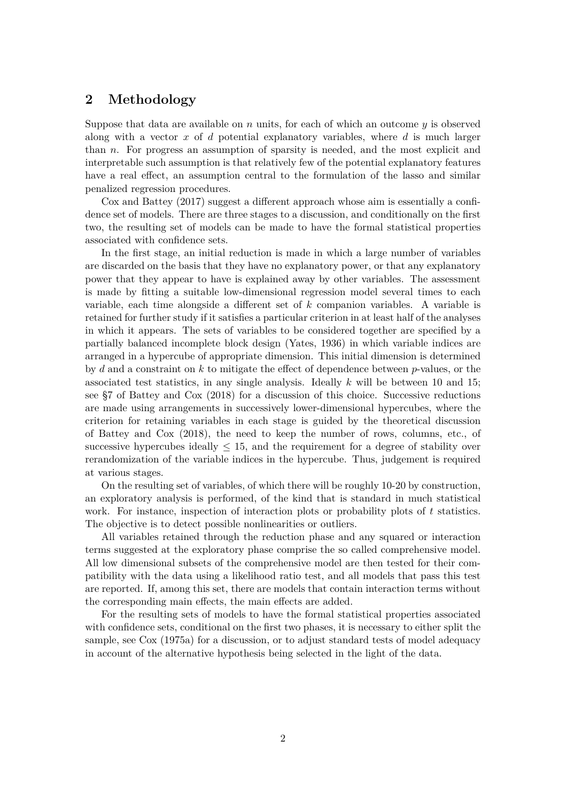# <span id="page-1-0"></span>**2 Methodology**

Suppose that data are available on *n* units, for each of which an outcome *y* is observed along with a vector *x* of *d* potential explanatory variables, where *d* is much larger than *n*. For progress an assumption of sparsity is needed, and the most explicit and interpretable such assumption is that relatively few of the potential explanatory features have a real effect, an assumption central to the formulation of the lasso and similar penalized regression procedures.

Cox and Battey (2017) suggest a different approach whose aim is essentially a confidence set of models. There are three stages to a discussion, and conditionally on the first two, the resulting set of models can be made to have the formal statistical properties associated with confidence sets.

In the first stage, an initial reduction is made in which a large number of variables are discarded on the basis that they have no explanatory power, or that any explanatory power that they appear to have is explained away by other variables. The assessment is made by fitting a suitable low-dimensional regression model several times to each variable, each time alongside a different set of *k* companion variables. A variable is retained for further study if it satisfies a particular criterion in at least half of the analyses in which it appears. The sets of variables to be considered together are specified by a partially balanced incomplete block design (Yates, 1936) in which variable indices are arranged in a hypercube of appropriate dimension. This initial dimension is determined by *d* and a constraint on *k* to mitigate the effect of dependence between *p*-values, or the associated test statistics, in any single analysis. Ideally *k* will be between 10 and 15; see §7 of Battey and Cox (2018) for a discussion of this choice. Successive reductions are made using arrangements in successively lower-dimensional hypercubes, where the criterion for retaining variables in each stage is guided by the theoretical discussion of Battey and Cox (2018), the need to keep the number of rows, columns, etc., of successive hypercubes ideally  $\leq 15$ , and the requirement for a degree of stability over rerandomization of the variable indices in the hypercube. Thus, judgement is required at various stages.

On the resulting set of variables, of which there will be roughly 10-20 by construction, an exploratory analysis is performed, of the kind that is standard in much statistical work. For instance, inspection of interaction plots or probability plots of *t* statistics. The objective is to detect possible nonlinearities or outliers.

All variables retained through the reduction phase and any squared or interaction terms suggested at the exploratory phase comprise the so called comprehensive model. All low dimensional subsets of the comprehensive model are then tested for their compatibility with the data using a likelihood ratio test, and all models that pass this test are reported. If, among this set, there are models that contain interaction terms without the corresponding main effects, the main effects are added.

For the resulting sets of models to have the formal statistical properties associated with confidence sets, conditional on the first two phases, it is necessary to either split the sample, see Cox (1975a) for a discussion, or to adjust standard tests of model adequacy in account of the alternative hypothesis being selected in the light of the data.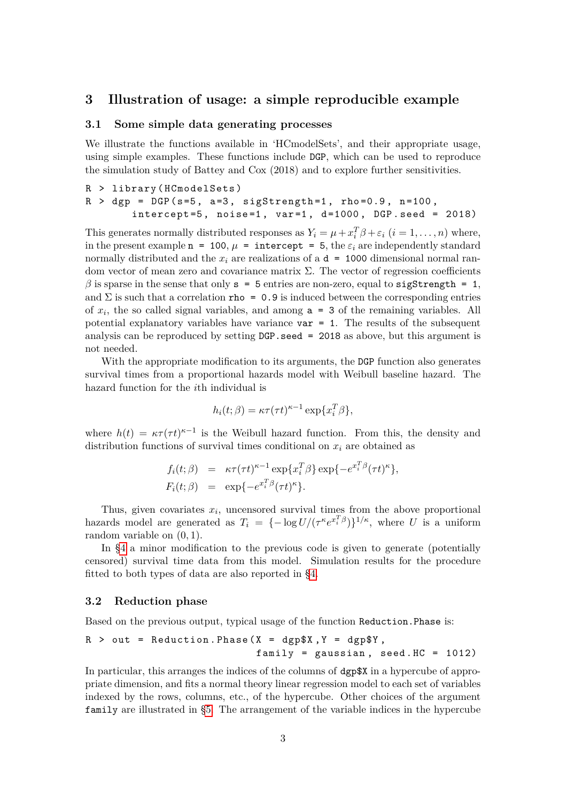## **3 Illustration of usage: a simple reproducible example**

### <span id="page-2-0"></span>**3.1 Some simple data generating processes**

We illustrate the functions available in 'HCmodelSets', and their appropriate usage, using simple examples. These functions include DGP, which can be used to reproduce the simulation study of Battey and Cox (2018) and to explore further sensitivities.

R > library ( HCmodelSets )  $R >$  dgp = DGP (s=5, a=3, sigStrength=1, rho=0.9, n=100,  $intercept = 5$ ,  $noise = 1$ ,  $var = 1$ ,  $d = 1000$ ,  $DGP . seed = 2018$ )

This generates normally distributed responses as  $Y_i = \mu + x_i^T \beta + \varepsilon_i$   $(i = 1, ..., n)$  where, in the present example  $n = 100$ ,  $\mu =$  intercept = 5, the  $\varepsilon_i$  are independently standard normally distributed and the  $x_i$  are realizations of a  $d = 1000$  dimensional normal random vector of mean zero and covariance matrix  $\Sigma$ . The vector of regression coefficients  $\beta$  is sparse in the sense that only  $s = 5$  entries are non-zero, equal to sigStrength = 1, and  $\Sigma$  is such that a correlation rho = 0.9 is induced between the corresponding entries of  $x_i$ , the so called signal variables, and among  $a = 3$  of the remaining variables. All potential explanatory variables have variance  $var = 1$ . The results of the subsequent analysis can be reproduced by setting DGP.seed = 2018 as above, but this argument is not needed.

With the appropriate modification to its arguments, the DGP function also generates survival times from a proportional hazards model with Weibull baseline hazard. The hazard function for the *i*th individual is

$$
h_i(t; \beta) = \kappa \tau(\tau t)^{\kappa - 1} \exp\{x_i^T \beta\},
$$

where  $h(t) = \kappa \tau (\tau t)^{\kappa-1}$  is the Weibull hazard function. From this, the density and distribution functions of survival times conditional on  $x_i$  are obtained as

$$
f_i(t; \beta) = \kappa \tau(\tau t)^{\kappa - 1} \exp\{x_i^T \beta\} \exp\{-e^{x_i^T \beta} (\tau t)^{\kappa}\},
$$
  

$$
F_i(t; \beta) = \exp\{-e^{x_i^T \beta} (\tau t)^{\kappa}\}.
$$

Thus, given covariates  $x_i$ , uncensored survival times from the above proportional hazards model are generated as  $T_i = \{-\log U/(\tau^{\kappa} e^{x_i^T \beta})\}^{1/\kappa}$ , where *U* is a uniform random variable on (0*,* 1).

In [§4](#page-5-0) a minor modification to the previous code is given to generate (potentially censored) survival time data from this model. Simulation results for the procedure fitted to both types of data are also reported in [§4.](#page-5-0)

### **3.2 Reduction phase**

Based on the previous output, typical usage of the function Reduction.Phase is:

$$
R > out = Reduction.Phase(X = dgp$X, Y = dgp$Y,
$$
  
family = gaussian, seed.HC = 1012)

In particular, this arranges the indices of the columns of dgp\$X in a hypercube of appropriate dimension, and fits a normal theory linear regression model to each set of variables indexed by the rows, columns, etc., of the hypercube. Other choices of the argument family are illustrated in [§5.](#page-8-0) The arrangement of the variable indices in the hypercube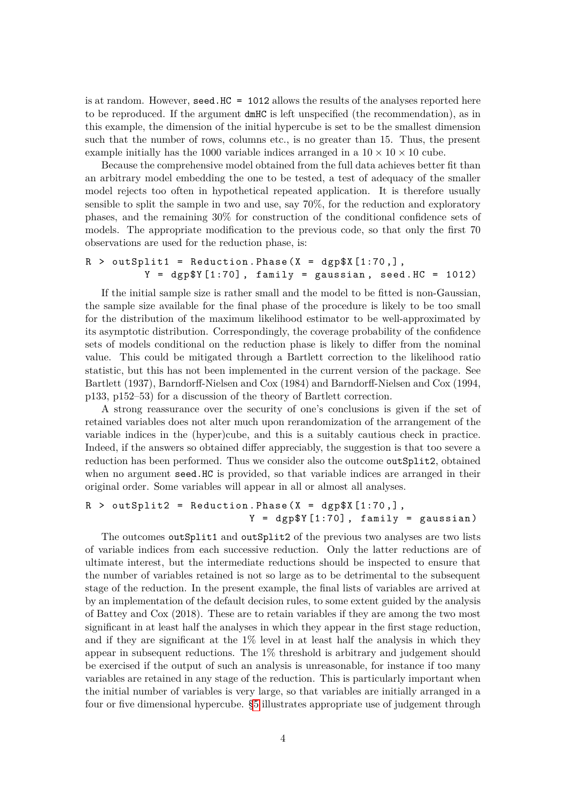is at random. However, seed.HC = 1012 allows the results of the analyses reported here to be reproduced. If the argument dmHC is left unspecified (the recommendation), as in this example, the dimension of the initial hypercube is set to be the smallest dimension such that the number of rows, columns etc., is no greater than 15. Thus, the present example initially has the 1000 variable indices arranged in a  $10 \times 10 \times 10$  cube.

Because the comprehensive model obtained from the full data achieves better fit than an arbitrary model embedding the one to be tested, a test of adequacy of the smaller model rejects too often in hypothetical repeated application. It is therefore usually sensible to split the sample in two and use, say 70%, for the reduction and exploratory phases, and the remaining 30% for construction of the conditional confidence sets of models. The appropriate modification to the previous code, so that only the first 70 observations are used for the reduction phase, is:

```
R > outSplit1 = Reduction. Phase (X = dgp $X [1:70, ],
          Y = \text{dgp$Y [1:70], family = gaussian, seed. HC = 1012}
```
If the initial sample size is rather small and the model to be fitted is non-Gaussian, the sample size available for the final phase of the procedure is likely to be too small for the distribution of the maximum likelihood estimator to be well-approximated by its asymptotic distribution. Correspondingly, the coverage probability of the confidence sets of models conditional on the reduction phase is likely to differ from the nominal value. This could be mitigated through a Bartlett correction to the likelihood ratio statistic, but this has not been implemented in the current version of the package. See Bartlett (1937), Barndorff-Nielsen and Cox (1984) and Barndorff-Nielsen and Cox (1994, p133, p152–53) for a discussion of the theory of Bartlett correction.

A strong reassurance over the security of one's conclusions is given if the set of retained variables does not alter much upon rerandomization of the arrangement of the variable indices in the (hyper)cube, and this is a suitably cautious check in practice. Indeed, if the answers so obtained differ appreciably, the suggestion is that too severe a reduction has been performed. Thus we consider also the outcome outSplit2, obtained when no argument seed.HC is provided, so that variable indices are arranged in their original order. Some variables will appear in all or almost all analyses.

```
R > outSplit2 = Reduction. Phase (X = dgp$X[1:70,],
                           Y = \text{dgp$Y [1:70], family = gaussian}
```
The outcomes outSplit1 and outSplit2 of the previous two analyses are two lists of variable indices from each successive reduction. Only the latter reductions are of ultimate interest, but the intermediate reductions should be inspected to ensure that the number of variables retained is not so large as to be detrimental to the subsequent stage of the reduction. In the present example, the final lists of variables are arrived at by an implementation of the default decision rules, to some extent guided by the analysis of Battey and Cox (2018). These are to retain variables if they are among the two most significant in at least half the analyses in which they appear in the first stage reduction, and if they are significant at the  $1\%$  level in at least half the analysis in which they appear in subsequent reductions. The 1% threshold is arbitrary and judgement should be exercised if the output of such an analysis is unreasonable, for instance if too many variables are retained in any stage of the reduction. This is particularly important when the initial number of variables is very large, so that variables are initially arranged in a four or five dimensional hypercube. [§5](#page-8-0) illustrates appropriate use of judgement through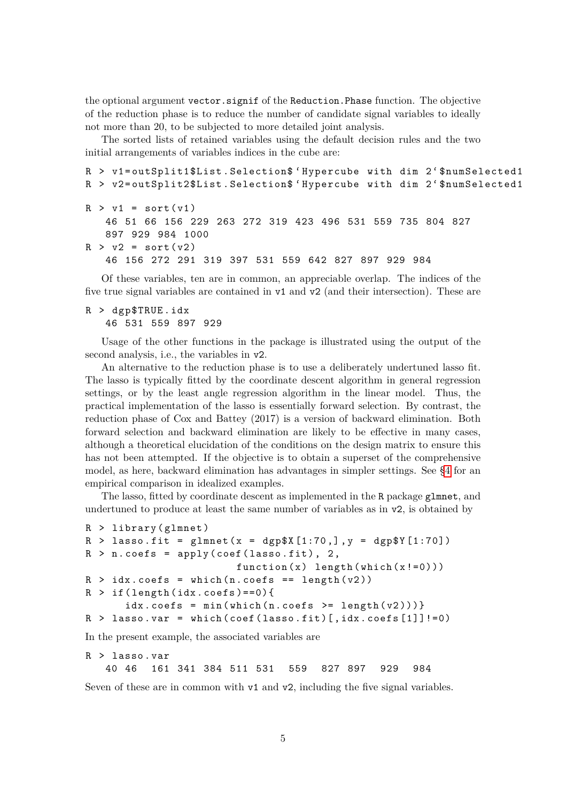the optional argument vector.signif of the Reduction.Phase function. The objective of the reduction phase is to reduce the number of candidate signal variables to ideally not more than 20, to be subjected to more detailed joint analysis.

The sorted lists of retained variables using the default decision rules and the two initial arrangements of variables indices in the cube are:

```
R > v1=outSplit1$List. Selection$ 'Hypercube with dim 2' $numSelected1
R > v2=outSplit2$List. Selection$ 'Hypercube with dim 2'$numSelected1
R > v1 = sort(v1)46 51 66 156 229 263 272 319 423 496 531 559 735 804 827
   897 929 984 1000
R > v2 = sort(v2)46 156 272 291 319 397 531 559 642 827 897 929 984
```
Of these variables, ten are in common, an appreciable overlap. The indices of the five true signal variables are contained in v1 and v2 (and their intersection). These are

### R > dgp\$TRUE . idx 46 531 559 897 929

Usage of the other functions in the package is illustrated using the output of the second analysis, i.e., the variables in v2.

An alternative to the reduction phase is to use a deliberately undertuned lasso fit. The lasso is typically fitted by the coordinate descent algorithm in general regression settings, or by the least angle regression algorithm in the linear model. Thus, the practical implementation of the lasso is essentially forward selection. By contrast, the reduction phase of Cox and Battey (2017) is a version of backward elimination. Both forward selection and backward elimination are likely to be effective in many cases, although a theoretical elucidation of the conditions on the design matrix to ensure this has not been attempted. If the objective is to obtain a superset of the comprehensive model, as here, backward elimination has advantages in simpler settings. See [§4](#page-5-0) for an empirical comparison in idealized examples.

The lasso, fitted by coordinate descent as implemented in the R package glmnet, and undertuned to produce at least the same number of variables as in v2, is obtained by

```
R > 1ibrary (glmnet)
R > lasso.fit = glmnet (x = dgp $X [1:70, ] , y = dgp $Y [1:70])R > n \cdot \text{coeffs} = \text{apply}(\text{coeff}(\text{lasso.fit}), 2,function(x) length (which(x != 0)))R > idx \cdot \text{coeffs} = \text{which} (n \cdot \text{coeffs} == \text{length}(v2))R > if (length (idx. <math>coefs) == 0</math>)idx.\mathrm{coeffs} = min(\text{which} (n.\mathrm{coeffs} > = \text{length}(v2))))R > lasso. var = which (coef (lasso.fit) [, idx. coefs [1]]!=0)
```
In the present example, the associated variables are

```
R > lasso . var
  40 46 161 341 384 511 531 559 827 897 929 984
```
Seven of these are in common with  $v1$  and  $v2$ , including the five signal variables.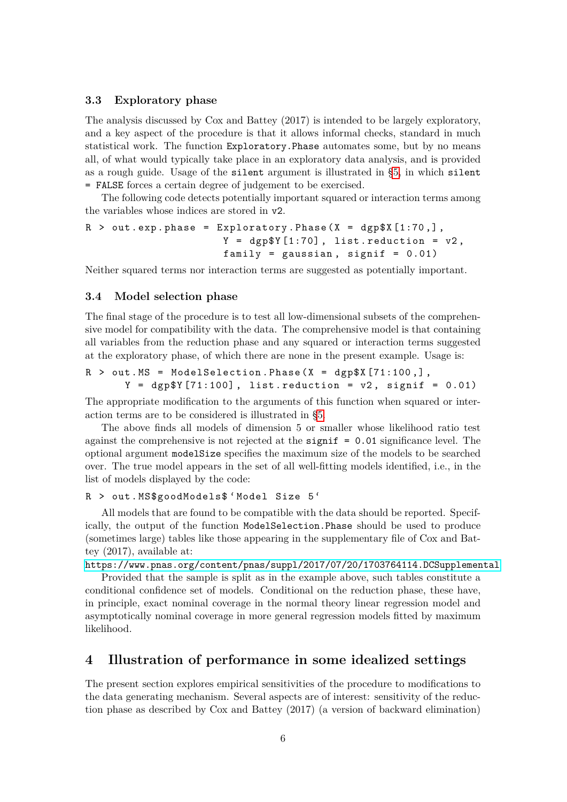### **3.3 Exploratory phase**

The analysis discussed by Cox and Battey (2017) is intended to be largely exploratory, and a key aspect of the procedure is that it allows informal checks, standard in much statistical work. The function Exploratory.Phase automates some, but by no means all, of what would typically take place in an exploratory data analysis, and is provided as a rough guide. Usage of the silent argument is illustrated in [§5,](#page-8-0) in which silent = FALSE forces a certain degree of judgement to be exercised.

The following code detects potentially important squared or interaction terms among the variables whose indices are stored in v2.

```
R > out. exp. phase = Exploratory. Phase (X = dep$X [1:70,],Y = dgp$Y [1:70], list.reduction = v2,
                      family = gaussian, signif = 0.01)
```
Neither squared terms nor interaction terms are suggested as potentially important.

#### **3.4 Model selection phase**

The final stage of the procedure is to test all low-dimensional subsets of the comprehensive model for compatibility with the data. The comprehensive model is that containing all variables from the reduction phase and any squared or interaction terms suggested at the exploratory phase, of which there are none in the present example. Usage is:

```
R > out. MS = ModelSelection. Phase (X = dgp$X [71:100, ],
      Y = dgp [71:100], list.reduction = v2, signif = 0.01)
```
The appropriate modification to the arguments of this function when squared or interaction terms are to be considered is illustrated in [§5.](#page-8-0)

The above finds all models of dimension 5 or smaller whose likelihood ratio test against the comprehensive is not rejected at the significance level. The optional argument modelSize specifies the maximum size of the models to be searched over. The true model appears in the set of all well-fitting models identified, i.e., in the list of models displayed by the code:

#### R > out . MS\$goodModels\$ ' Model Size 5 '

All models that are found to be compatible with the data should be reported. Specifically, the output of the function ModelSelection.Phase should be used to produce (sometimes large) tables like those appearing in the supplementary file of Cox and Battey (2017), available at:

<https://www.pnas.org/content/pnas/suppl/2017/07/20/1703764114.DCSupplemental>

Provided that the sample is split as in the example above, such tables constitute a conditional confidence set of models. Conditional on the reduction phase, these have, in principle, exact nominal coverage in the normal theory linear regression model and asymptotically nominal coverage in more general regression models fitted by maximum likelihood.

### <span id="page-5-0"></span>**4 Illustration of performance in some idealized settings**

The present section explores empirical sensitivities of the procedure to modifications to the data generating mechanism. Several aspects are of interest: sensitivity of the reduction phase as described by Cox and Battey (2017) (a version of backward elimination)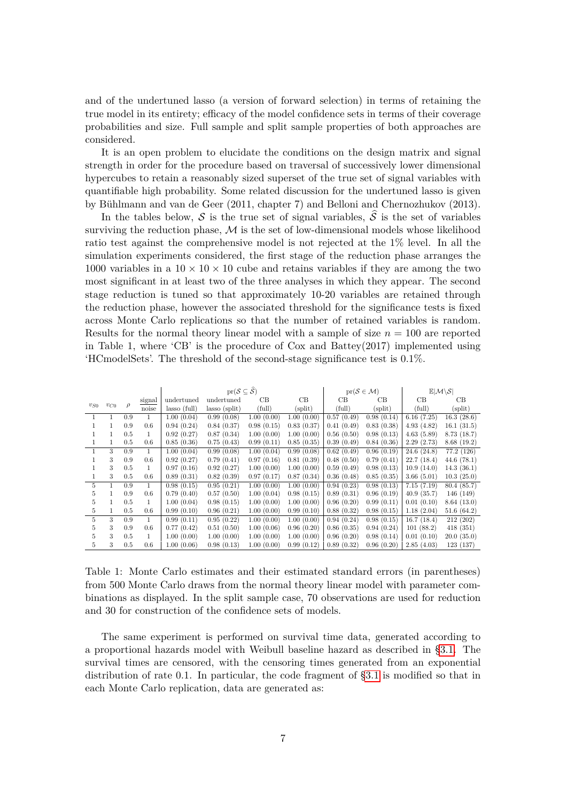and of the undertuned lasso (a version of forward selection) in terms of retaining the true model in its entirety; efficacy of the model confidence sets in terms of their coverage probabilities and size. Full sample and split sample properties of both approaches are considered.

It is an open problem to elucidate the conditions on the design matrix and signal strength in order for the procedure based on traversal of successively lower dimensional hypercubes to retain a reasonably sized superset of the true set of signal variables with quantifiable high probability. Some related discussion for the undertuned lasso is given by Bühlmann and van de Geer (2011, chapter 7) and Belloni and Chernozhukov (2013).

In the tables below, S is the true set of signal variables,  $\hat{S}$  is the set of variables surviving the reduction phase,  $M$  is the set of low-dimensional models whose likelihood ratio test against the comprehensive model is not rejected at the 1% level. In all the simulation experiments considered, the first stage of the reduction phase arranges the 1000 variables in a  $10 \times 10 \times 10$  cube and retains variables if they are among the two most significant in at least two of the three analyses in which they appear. The second stage reduction is tuned so that approximately 10-20 variables are retained through the reduction phase, however the associated threshold for the significance tests is fixed across Monte Carlo replications so that the number of retained variables is random. Results for the normal theory linear model with a sample of size *n* = 100 are reported in Table 1, where 'CB' is the procedure of Cox and Battey(2017) implemented using 'HCmodelSets'. The threshold of the second-stage significance test is 0.1%.

|          |              |         |              |                | $\mathrm{pr}(\mathcal{S} \subseteq \widehat{\mathcal{S}})$ |            |            |            | $pr(S \in \mathcal{M})$ | $\mathbb{E} \mathcal{M}\backslash\mathcal{S} $ |             |  |  |
|----------|--------------|---------|--------------|----------------|------------------------------------------------------------|------------|------------|------------|-------------------------|------------------------------------------------|-------------|--|--|
|          |              | signal  |              | undertuned     | undertuned                                                 | CB         | CB         | CB         | CB                      | CB                                             | CВ          |  |  |
| $v_{S0}$ | $v_{C0}$     | ρ       | noise        | $lasso$ (full) | $lasso$ (split)                                            | (full)     | (split)    | (full)     | (split)                 | (full)                                         | (split)     |  |  |
|          |              | 0.9     |              | 1.00(0.04)     | 0.99(0.08)                                                 | 1.00(0.00) | 1.00(0.00) | 0.57(0.49) | 0.98(0.14)              | 6.16(7.25)                                     | 16.3(28.6)  |  |  |
|          | $\mathbf{1}$ | 0.9     | 0.6          | 0.94(0.24)     | 0.84(0.37)                                                 | 0.98(0.15) | 0.83(0.37) | 0.41(0.49) | 0.83(0.38)              | 4.93(4.82)                                     | 16.1(31.5)  |  |  |
|          | 1.           | 0.5     | 1            | 0.92(0.27)     | 0.87(0.34)                                                 | 1.00(0.00) | 1.00(0.00) | 0.56(0.50) | 0.98(0.13)              | 4.63(5.89)                                     | 8.73(18.7)  |  |  |
|          | 1.           | 0.5     | 0.6          | 0.85(0.36)     | 0.75(0.43)                                                 | 0.99(0.11) | 0.85(0.35) | 0.39(0.49) | 0.84(0.36)              | 2.29(2.73)                                     | 8.68(19.2)  |  |  |
| 1        | 3            | 0.9     | $\mathbf{1}$ | 1.00(0.04)     | 0.99(0.08)                                                 | 1.00(0.04) | 0.99(0.08) | 0.62(0.49) | 0.96(0.19)              | 24.6(24.8)                                     | 77.2 (126)  |  |  |
|          | 3            | 0.9     | 0.6          | 0.92(0.27)     | 0.79(0.41)                                                 | 0.97(0.16) | 0.81(0.39) | 0.48(0.50) | 0.79(0.41)              | 22.7(18.4)                                     | 44.6(78.1)  |  |  |
|          | 3            | $0.5\,$ |              | 0.97(0.16)     | 0.92(0.27)                                                 | 1.00(0.00) | 1.00(0.00) | 0.59(0.49) | 0.98(0.13)              | 10.9(14.0)                                     | 14.3(36.1)  |  |  |
|          | 3            | 0.5     | 0.6          | 0.89(0.31)     | 0.82(0.39)                                                 | 0.97(0.17) | 0.87(0.34) | 0.36(0.48) | 0.85(0.35)              | 3.66(5.01)                                     | 10.3(25.0)  |  |  |
| 5        | 1.           | 0.9     | 1.           | 0.98(0.15)     | 0.95(0.21)                                                 | 1.00(0.00) | 1.00(0.00) | 0.94(0.23) | 0.98(0.13)              | 7.15(7.19)                                     | 80.4 (85.7) |  |  |
| 5        |              | 0.9     | 0.6          | 0.79(0.40)     | 0.57(0.50)                                                 | 1.00(0.04) | 0.98(0.15) | 0.89(0.31) | 0.96(0.19)              | 40.9(35.7)                                     | 146 (149)   |  |  |
| 5        | 1.           | 0.5     | 1.           | 1.00(0.04)     | 0.98(0.15)                                                 | 1.00(0.00) | 1.00(0.00) | 0.96(0.20) | 0.99(0.11)              | 0.01(0.10)                                     | 8.64(13.0)  |  |  |
| 5        | 1.           | 0.5     | 0.6          | 0.99(0.10)     | 0.96(0.21)                                                 | 1.00(0.00) | 0.99(0.10) | 0.88(0.32) | 0.98(0.15)              | 1.18(2.04)                                     | 51.6(64.2)  |  |  |
| 5        | 3            | 0.9     |              | 0.99(0.11)     | 0.95(0.22)                                                 | 1.00(0.00) | 1.00(0.00) | 0.94(0.24) | 0.98(0.15)              | 16.7(18.4)                                     | 212 (202)   |  |  |
| 5        | 3            | 0.9     | 0.6          | 0.77(0.42)     | 0.51(0.50)                                                 | 1.00(0.06) | 0.96(0.20) | 0.86(0.35) | 0.94(0.24)              | 101(88.2)                                      | 418(351)    |  |  |
| 5        | 3            | 0.5     |              | 1.00(0.00)     | 1.00(0.00)                                                 | 1.00(0.00) | 1.00(0.00) | 0.96(0.20) | 0.98(0.14)              | 0.01(0.10)                                     | 20.0(35.0)  |  |  |
| 5        | 3            | 0.5     | 0.6          | 1.00(0.06)     | 0.98(0.13)                                                 | 1.00(0.00) | 0.99(0.12) | 0.89(0.32) | 0.96(0.20)              | 2.85(4.03)                                     | 123 (137)   |  |  |

Table 1: Monte Carlo estimates and their estimated standard errors (in parentheses) from 500 Monte Carlo draws from the normal theory linear model with parameter combinations as displayed. In the split sample case, 70 observations are used for reduction and 30 for construction of the confidence sets of models.

The same experiment is performed on survival time data, generated according to a proportional hazards model with Weibull baseline hazard as described in [§3.1.](#page-2-0) The survival times are censored, with the censoring times generated from an exponential distribution of rate 0*.*1. In particular, the code fragment of [§3.1](#page-2-0) is modified so that in each Monte Carlo replication, data are generated as: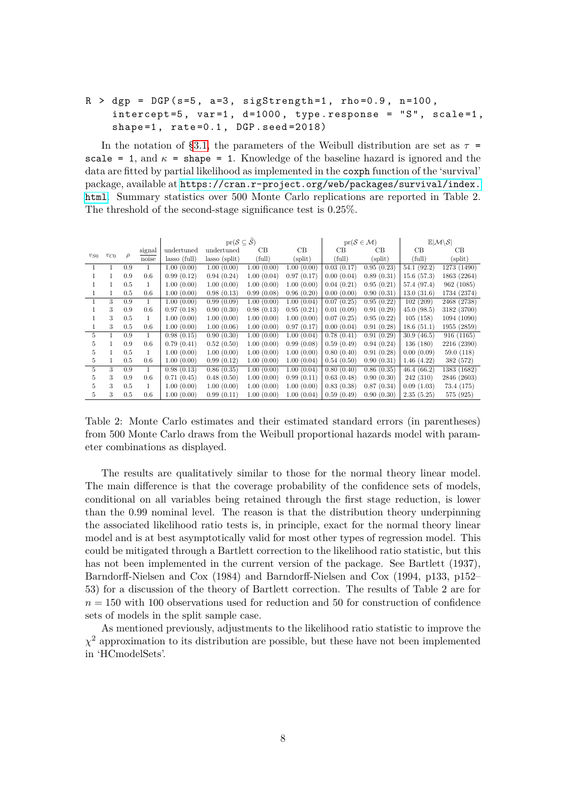## $R >$  dgp = DGP (s=5, a=3, sigStrength=1, rho=0.9, n=100,  $intercept = 5$ ,  $var = 1$ ,  $d = 1000$ , type. response = "S", scale=1, shape= $1$ , rate= $0.1$ , DGP.seed= $2018$ )

In the notation of [§3.1,](#page-2-0) the parameters of the Weibull distribution are set as  $\tau$ scale = 1, and  $\kappa$  = shape = 1. Knowledge of the baseline hazard is ignored and the data are fitted by partial likelihood as implemented in the coxph function of the 'survival' package, available at [https://cran.r-project.org/web/packages/survival/index.](https://cran.r-project.org/web/packages/survival/index.html) [html](https://cran.r-project.org/web/packages/survival/index.html). Summary statistics over 500 Monte Carlo replications are reported in Table 2. The threshold of the second-stage significance test is 0.25%.

|          |          |        |              |                | $\mathrm{pr}(\mathcal{S} \subseteq \widehat{\mathcal{S}})$ |            |            | $pr(S \in \mathcal{M})$ |            | $\mathbb{E} \mathcal{M}\backslash\mathcal{S} $ |             |  |  |
|----------|----------|--------|--------------|----------------|------------------------------------------------------------|------------|------------|-------------------------|------------|------------------------------------------------|-------------|--|--|
|          |          | signal |              | undertuned     | undertuned                                                 | CВ         | CB         | CB                      | CB         | CB                                             | CВ          |  |  |
| $v_{S0}$ | $v_{C0}$ | $\rho$ | noise        | $lasso$ (full) | $lasso$ (split)                                            | (full)     | (split)    | (full)                  | (split)    | (full)                                         | (split)     |  |  |
|          |          | 0.9    |              | 1.00(0.00)     | 1.00(0.00)                                                 | 1.00(0.00) | 1.00(0.00) | 0.03(0.17)              | 0.95(0.23) | 54.1(92.2)                                     | 1273 (1490) |  |  |
|          |          | 0.9    | 0.6          | 0.99(0.12)     | 0.94(0.24)                                                 | 1.00(0.04) | 0.97(0.17) | 0.00(0.04)              | 0.89(0.31) | 15.6(57.3)                                     | 1863 (2264) |  |  |
|          |          | 0.5    | 1            | 1.00(0.00)     | 1.00(0.00)                                                 | 1.00(0.00) | 1.00(0.00) | 0.04(0.21)              | 0.95(0.21) | 57.4 (97.4)                                    | 962 (1085)  |  |  |
|          | 1        | 0.5    | 0.6          | 1.00(0.00)     | 0.98(0.13)                                                 | 0.99(0.08) | 0.96(0.20) | 0.00(0.00)              | 0.90(0.31) | 13.0(31.6)                                     | 1734 (2374) |  |  |
|          | 3        | 0.9    | $\mathbf{1}$ | 1.00(0.00)     | 0.99(0.09)                                                 | 1.00(0.00) | 1.00(0.04) | 0.07(0.25)              | 0.95(0.22) | 102(209)                                       | 2468 (2738) |  |  |
|          | 3        | 0.9    | 0.6          | 0.97(0.18)     | 0.90(0.30)                                                 | 0.98(0.13) | 0.95(0.21) | 0.01(0.09)              | 0.91(0.29) | 45.0(98.5)                                     | 3182 (3700) |  |  |
|          | 3        | 0.5    | 1            | 1.00(0.00)     | 1.00(0.00)                                                 | 1.00(0.00) | 1.00(0.00) | 0.07(0.25)              | 0.95(0.22) | 105(158)                                       | 1094 (1090) |  |  |
|          | 3        | 0.5    | 0.6          | 1.00(0.00)     | 1.00(0.06)                                                 | 1.00(0.00) | 0.97(0.17) | 0.00(0.04)              | 0.91(0.28) | 18.6(51.1)                                     | 1955 (2859) |  |  |
| 5.       |          | 0.9    | 1            | 0.98(0.15)     | 0.90(0.30)                                                 | 1.00(0.00) | 1.00(0.04) | 0.78(0.41)              | 0.91(0.29) | 30.9(46.5)                                     | 916 (1165)  |  |  |
| 5        |          | 0.9    | 0.6          | 0.79(0.41)     | 0.52(0.50)                                                 | 1.00(0.00) | 0.99(0.08) | 0.59(0.49)              | 0.94(0.24) | 136 (180)                                      | 2216 (2390) |  |  |
| 5        |          | 0.5    |              | 1.00(0.00)     | 1.00(0.00)                                                 | 1.00(0.00) | 1.00(0.00) | 0.80(0.40)              | 0.91(0.28) | 0.00(0.09)                                     | 59.0(118)   |  |  |
| 5        |          | 0.5    | 0.6          | 1.00(0.00)     | 0.99(0.12)                                                 | 1.00(0.00) | 1.00(0.04) | 0.54(0.50)              | 0.90(0.31) | 1.46(4.22)                                     | 382 (572)   |  |  |
| 5        | 3        | 0.9    |              | 0.98(0.13)     | 0.86(0.35)                                                 | 1.00(0.00) | 1.00(0.04) | 0.80(0.40)              | 0.86(0.35) | 46.4(66.2)                                     | 1383 (1682) |  |  |
| 5        | 3        | 0.9    | 0.6          | 0.71(0.45)     | 0.48(0.50)                                                 | 1.00(0.00) | 0.99(0.11) | 0.63(0.48)              | 0.90(0.30) | 242 (310)                                      | 2846 (2603) |  |  |
| 5        | 3        | 0.5    |              | 1.00(0.00)     | 1.00(0.00)                                                 | 1.00(0.00) | 1.00(0.00) | 0.83(0.38)              | 0.87(0.34) | 0.09(1.03)                                     | 73.4 (175)  |  |  |
| 5        | 3        | 0.5    | 0.6          | 1.00(0.00)     | 0.99(0.11)                                                 | 1.00(0.00) | 1.00(0.04) | 0.59(0.49)              | 0.90(0.30) | 2.35(5.25)                                     | 575 (925)   |  |  |

Table 2: Monte Carlo estimates and their estimated standard errors (in parentheses) from 500 Monte Carlo draws from the Weibull proportional hazards model with parameter combinations as displayed.

The results are qualitatively similar to those for the normal theory linear model. The main difference is that the coverage probability of the confidence sets of models, conditional on all variables being retained through the first stage reduction, is lower than the 0.99 nominal level. The reason is that the distribution theory underpinning the associated likelihood ratio tests is, in principle, exact for the normal theory linear model and is at best asymptotically valid for most other types of regression model. This could be mitigated through a Bartlett correction to the likelihood ratio statistic, but this has not been implemented in the current version of the package. See Bartlett (1937), Barndorff-Nielsen and Cox (1984) and Barndorff-Nielsen and Cox (1994, p133, p152– 53) for a discussion of the theory of Bartlett correction. The results of Table 2 are for  $n = 150$  with 100 observations used for reduction and 50 for construction of confidence sets of models in the split sample case.

As mentioned previously, adjustments to the likelihood ratio statistic to improve the  $\chi^2$  approximation to its distribution are possible, but these have not been implemented in 'HCmodelSets'.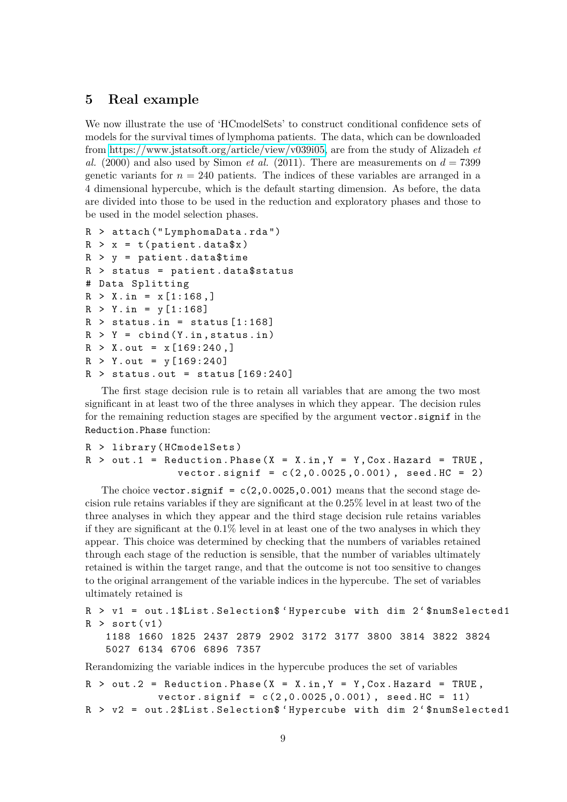## <span id="page-8-0"></span>**5 Real example**

We now illustrate the use of 'HCmodelSets' to construct conditional confidence sets of models for the survival times of lymphoma patients. The data, which can be downloaded from [https://www.jstatsoft.org/article/view/v039i05,](https://www.jstatsoft.org/article/view/v039i05) are from the study of Alizadeh *et al.* (2000) and also used by Simon *et al.* (2011). There are measurements on  $d = 7399$ genetic variants for  $n = 240$  patients. The indices of these variables are arranged in a 4 dimensional hypercube, which is the default starting dimension. As before, the data are divided into those to be used in the reduction and exploratory phases and those to be used in the model selection phases.

```
R > attach (" LymphomaData . rda ")
R > x = t (patient . data x)
R > y = patient.data$time
R > status = patient.data$status
# Data Splitting
R > X.in = x[1:168, ]R > Y.in = y [1:168]R > status.in = status [1:168]R > Y = \text{cbind}(Y.in, status.in)R > X.out = x [169:240, ]R > Y.out = y [169:240]R > status.out = status [169:240]
```
The first stage decision rule is to retain all variables that are among the two most significant in at least two of the three analyses in which they appear. The decision rules for the remaining reduction stages are specified by the argument vector.signif in the Reduction.Phase function:

```
R > library ( HCmodelSets )
R > out 1 = Reduction . Phase (X = X \cdot in, Y = Y \cdot Cov \cdot Hazard = TRUE,
                   vector \text{.} signif = c(2, 0.0025, 0.001), seed \text{.} HC = 2)
```
The choice vector.signif =  $c(2,0.0025,0.001)$  means that the second stage decision rule retains variables if they are significant at the 0.25% level in at least two of the three analyses in which they appear and the third stage decision rule retains variables if they are significant at the 0.1% level in at least one of the two analyses in which they appear. This choice was determined by checking that the numbers of variables retained through each stage of the reduction is sensible, that the number of variables ultimately retained is within the target range, and that the outcome is not too sensitive to changes to the original arrangement of the variable indices in the hypercube. The set of variables ultimately retained is

```
R > v1 = out .1 $List . Selection$ ' Hypercube with dim 2 ' $numSelected1
R > sort(v1)1188 1660 1825 2437 2879 2902 3172 3177 3800 3814 3822 3824
   5027 6134 6706 6896 7357
```
Rerandomizing the variable indices in the hypercube produces the set of variables

```
R > out .2 = Reduction . Phase (X = X.in, Y = Y, Cox.Hazard = TRUE,vector \text{.} signif = c(2, 0.0025, 0.001), seed. HC = 11)
R > v2 = out .2 $List . Selection$ ' Hypercube with dim 2 ' $numSelected1
```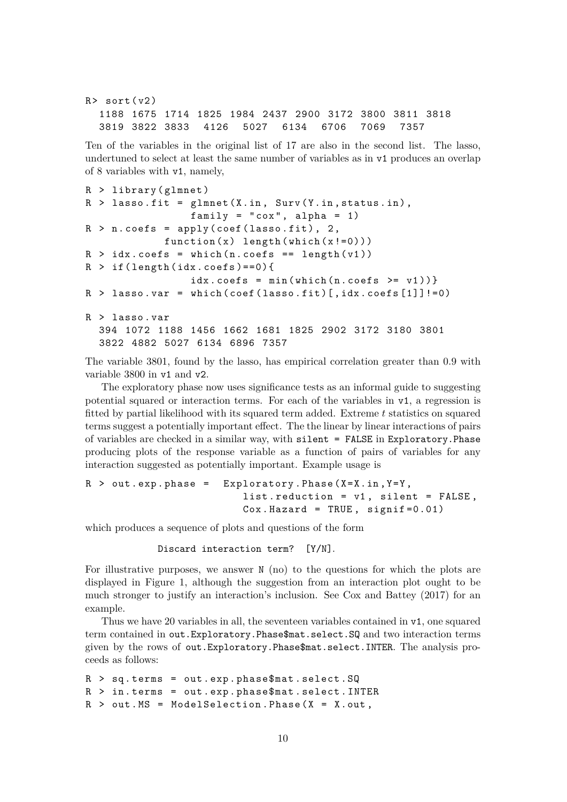```
R > sort (v2)1188 1675 1714 1825 1984 2437 2900 3172 3800 3811 3818
 3819 3822 3833 4126 5027 6134 6706 7069 7357
```
Ten of the variables in the original list of 17 are also in the second list. The lasso, undertuned to select at least the same number of variables as in v1 produces an overlap of 8 variables with v1, namely,

```
R > 1ibrary (glmnet)
R > lasso.fit = glmnet (X.in, Surv(Y.in, status.in),family = "cox", alpha = 1)R > n \cdot \text{coeffs} = \text{apply}(\text{coeff}(\text{lasso.fit}), 2,function(x) length (which(x!=0)))R > idx \cdot \text{coeffs} = \text{which} (n \cdot \text{coeffs} == \text{length} (v1))R > if (length (idx. <math>coefs) == 0</math>)idx \cdot cosfs = min(which(n \cdot cosfs \geq v1))R > lasso.var = which (coef (lasso.fit) [, idx.coefs [1]]!=0)
R > lasso . var
  394 1072 1188 1456 1662 1681 1825 2902 3172 3180 3801
  3822 4882 5027 6134 6896 7357
```
The variable 3801, found by the lasso, has empirical correlation greater than 0.9 with variable 3800 in v1 and v2.

The exploratory phase now uses significance tests as an informal guide to suggesting potential squared or interaction terms. For each of the variables in v1, a regression is fitted by partial likelihood with its squared term added. Extreme *t* statistics on squared terms suggest a potentially important effect. The the linear by linear interactions of pairs of variables are checked in a similar way, with silent = FALSE in Exploratory.Phase producing plots of the response variable as a function of pairs of variables for any interaction suggested as potentially important. Example usage is

```
R > out . exp. phase = Exploratory . Phase (X=X \cdot in, Y=Y),
                           list. reduction = v1, silent = FALSE,
                           Cox. Hazard = TRUE, signif=0.01)
```
which produces a sequence of plots and questions of the form

```
Discard interaction term? [Y/N].
```
For illustrative purposes, we answer N (no) to the questions for which the plots are displayed in Figure 1, although the suggestion from an interaction plot ought to be much stronger to justify an interaction's inclusion. See Cox and Battey (2017) for an example.

Thus we have 20 variables in all, the seventeen variables contained in v1, one squared term contained in out.Exploratory.Phase\$mat.select.SQ and two interaction terms given by the rows of out.Exploratory.Phase\$mat.select.INTER. The analysis proceeds as follows:

```
R > sq . terms = out . exp . phase$mat . select . SQ
R > in . terms = out . exp . phase$mat . select . INTER
R > out. MS = ModelSelection. Phase (X = X.out),
```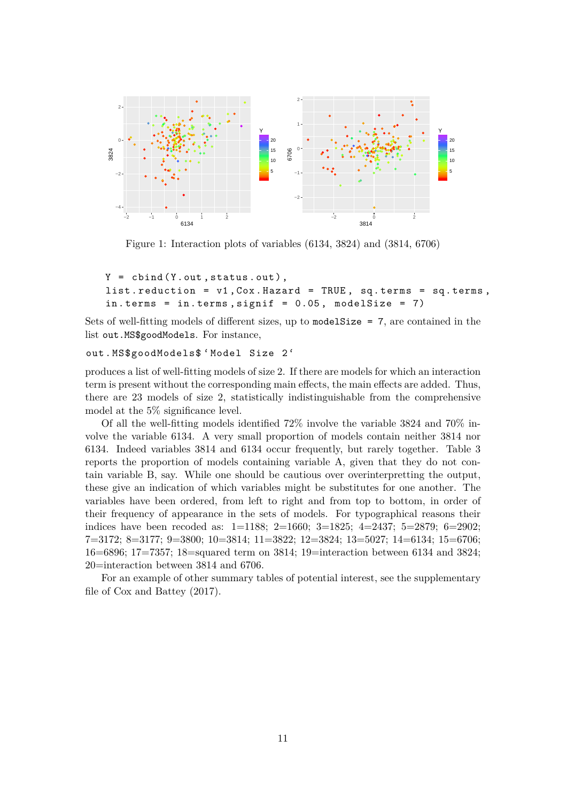

Figure 1: Interaction plots of variables (6134, 3824) and (3814, 6706)

```
Y = \text{cbind}(Y.out, status.out),list. reduction = v1, Cox. Hazard = TRUE, sq. terms = sq. terms,in. terms = in. terms, signif = 0.05, modelSize = 7)
```
Sets of well-fitting models of different sizes, up to modelSize = 7, are contained in the list out.MS\$goodModels. For instance,

#### out . MS\$goodModels\$ ' Model Size 2 '

produces a list of well-fitting models of size 2. If there are models for which an interaction term is present without the corresponding main effects, the main effects are added. Thus, there are 23 models of size 2, statistically indistinguishable from the comprehensive model at the 5% significance level.

Of all the well-fitting models identified 72% involve the variable 3824 and 70% involve the variable 6134. A very small proportion of models contain neither 3814 nor 6134. Indeed variables 3814 and 6134 occur frequently, but rarely together. Table 3 reports the proportion of models containing variable A, given that they do not contain variable B, say. While one should be cautious over overinterpretting the output, these give an indication of which variables might be substitutes for one another. The variables have been ordered, from left to right and from top to bottom, in order of their frequency of appearance in the sets of models. For typographical reasons their indices have been recoded as: 1=1188; 2=1660; 3=1825; 4=2437; 5=2879; 6=2902; 7=3172; 8=3177; 9=3800; 10=3814; 11=3822; 12=3824; 13=5027; 14=6134; 15=6706; 16=6896; 17=7357; 18=squared term on 3814; 19=interaction between 6134 and 3824; 20=interaction between 3814 and 6706.

For an example of other summary tables of potential interest, see the supplementary file of Cox and Battey (2017).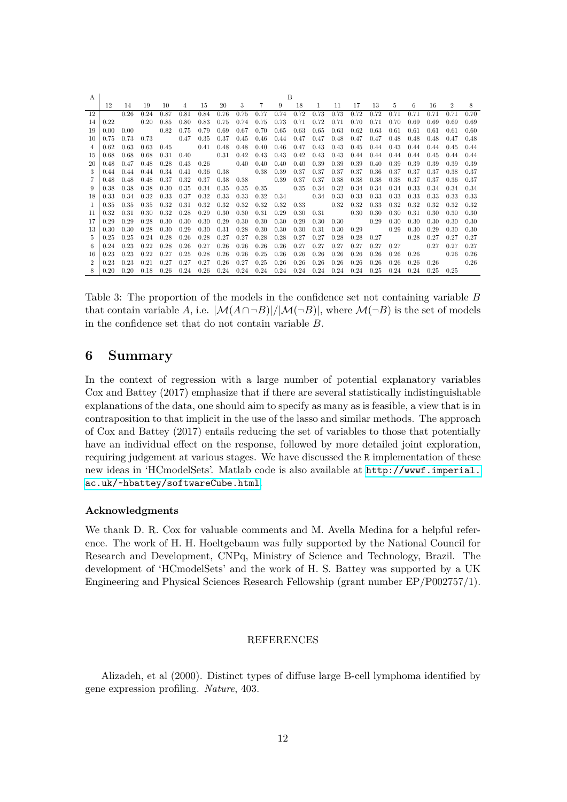| $\mathsf{A}$  | B    |      |      |      |             |      |      |      |          |                      |      |              |      |      |      |                   |      |      |                   |      |
|---------------|------|------|------|------|-------------|------|------|------|----------|----------------------|------|--------------|------|------|------|-------------------|------|------|-------------------|------|
|               | 12   | 14   | 19   | 10   | 4           | 15   | 20   | 3    | 7        | 9                    | -18  | $\mathbf{1}$ | 11   | 17   | 13   | 5                 | 6    | 16   | $\mathcal{D}$     | 8    |
| 12            |      | 0.26 | 0.24 | 0.87 | 0.81        | 0.84 | 0.76 | 0.75 | 0.77     | 0.74                 | 0.72 | 0.73         | 0.73 | 0.72 | 0.72 | 0.71              | 0.71 | 0.71 | 0.71              | 0.70 |
| 14            | 0.22 |      | 0.20 | 0.85 | 0.80        | 0.83 | 0.75 | 0.74 | 0.75     | 0.73                 | 0.71 | 0.72         | 0.71 | 0.70 | 0.71 | 0.70              | 0.69 | 0.69 | 0.69              | 0.69 |
| 19            | 0.00 | 0.00 |      | 0.82 | 0.75        | 0.79 | 0.69 | 0.67 | 0.70     | 0.65                 | 0.63 | 0.65         | 0.63 | 0.62 | 0.63 | 0.61              | 0.61 | 0.61 | 0.61              | 0.60 |
| 10            | 0.75 | 0.73 | 0.73 |      | 0.47        | 0.35 | 0.37 | 0.45 | 0.46     | 0.44                 | 0.47 | 0.47         | 0.48 | 0.47 | 0.47 | 0.48              | 0.48 | 0.48 | 0.47              | 0.48 |
|               | 0.62 | 0.63 | 0.63 | 0.45 |             | 0.41 | 0.48 | 0.48 | 0.40     | 0.46                 | 0.47 | 0.43         | 0.43 | 0.45 | 0.44 | 0.43              | 0.44 | 0.44 | 0.45              | 0.44 |
| 15            | 0.68 | 0.68 | 0.68 | 0.31 | 0.40        |      | 0.31 | 0.42 | 0.43     | $0.43 \quad 0.42$    |      | 0.43         | 0.43 | 0.44 |      | $0.44 \quad 0.44$ | 0.44 | 0.45 | 0.44              | 0.44 |
| 20            | 0.48 | 0.47 | 0.48 | 0.28 | 0.43        | 0.26 |      | 0.40 | $0.40\,$ | 0.40                 | 0.40 | 0.39         | 0.39 | 0.39 | 0.40 | 0.39              | 0.39 | 0.39 | 0.39              | 0.39 |
|               | 0.44 | 0.44 | 0.44 | 0.34 | 0.41        | 0.36 | 0.38 |      | 0.38     | 0.39                 | 0.37 | 0.37         | 0.37 | 0.37 | 0.36 | 0.37              | 0.37 | 0.37 | 0.38              | 0.37 |
|               | 0.48 | 0.48 | 0.48 | 0.37 | 0.32        | 0.37 | 0.38 | 0.38 |          | 0.39                 | 0.37 | 0.37         | 0.38 | 0.38 | 0.38 | 0.38              | 0.37 | 0.37 | 0.36              | 0.37 |
| 9             | 0.38 | 0.38 | 0.38 | 0.30 | 0.35        | 0.34 | 0.35 | 0.35 | 0.35     | 0.35                 |      | 0.34         | 0.32 | 0.34 | 0.34 | 0.34              | 0.33 | 0.34 | 0.34              | 0.34 |
| 18            | 0.33 | 0.34 | 0.32 | 0.33 | 0.37        | 0.32 | 0.33 | 0.33 | 0.32     | $0.34\,$             |      | 0.34         | 0.33 | 0.33 | 0.33 | 0.33              | 0.33 | 0.33 | 0.33              | 0.33 |
|               | 0.35 | 0.35 | 0.35 | 0.32 | 0.31        | 0.32 | 0.32 | 0.32 | 0.32     | $0.32\,$             | 0.33 |              | 0.32 | 0.32 | 0.33 | 0.32              | 0.32 | 0.32 | 0.32              | 0.32 |
| 11            | 0.32 | 0.31 | 0.30 | 0.32 | 0.28        | 0.29 | 0.30 | 0.30 | 0.31     | 0.29                 | 0.30 | 0.31         |      | 0.30 | 0.30 | 0.30              | 0.31 | 0.30 | 0.30              | 0.30 |
| 17            | 0.29 | 0.29 | 0.28 | 0.30 | 0.30        | 0.30 | 0.29 | 0.30 | 0.30     | 0.30                 | 0.29 | 0.30         | 0.30 |      | 0.29 | 0.30              | 0.30 | 0.30 | 0.30              | 0.30 |
| 13            | 0.30 | 0.30 | 0.28 | 0.30 | 0.29        | 0.30 | 0.31 | 0.28 | 0.30     | 0.30                 | 0.30 | 0.31         | 0.30 | 0.29 |      | 0.29              | 0.30 | 0.29 | 0.30              | 0.30 |
| 5.            | 0.25 | 0.25 | 0.24 | 0.28 | 0.26        | 0.28 | 0.27 | 0.27 | 0.28     | 0.28                 | 0.27 | 0.27         | 0.28 | 0.28 | 0.27 |                   | 0.28 | 0.27 | 0.27              | 0.27 |
| 6.            | 0.24 | 0.23 | 0.22 | 0.28 | 0.26        | 0.27 | 0.26 | 0.26 | 0.26     | 0.26                 | 0.27 | 0.27         | 0.27 | 0.27 | 0.27 | 0.27              |      | 0.27 | 0.27              | 0.27 |
| 16            | 0.23 | 0.23 | 0.22 | 0.27 | 0.25        | 0.28 | 0.26 | 0.26 | 0.25     | 0.26                 | 0.26 | 0.26         | 0.26 | 0.26 | 0.26 | 0.26              | 0.26 |      | 0.26              | 0.26 |
| $\mathcal{D}$ | 0.23 | 0.23 | 0.21 | 0.27 | 0.27        | 0.27 | 0.26 | 0.27 | 0.25     | 0.26                 | 0.26 | 0.26         | 0.26 | 0.26 | 0.26 | 0.26              | 0.26 | 0.26 |                   | 0.26 |
|               | 0.20 | 0.20 | 0.18 | 0.26 | $0.24$ 0.26 |      | 0.24 | 0.24 |          | $0.24$ $0.24$ $0.24$ |      | 0.24         | 0.24 | 0.24 | 0.25 | 0.24              | 0.24 |      | $0.25 \quad 0.25$ |      |

Table 3: The proportion of the models in the confidence set not containing variable *B* that contain variable *A*, i.e.  $|\mathcal{M}(A \cap \neg B)|/|\mathcal{M}(\neg B)|$ , where  $\mathcal{M}(\neg B)$  is the set of models in the confidence set that do not contain variable *B*.

# **6 Summary**

In the context of regression with a large number of potential explanatory variables Cox and Battey (2017) emphasize that if there are several statistically indistinguishable explanations of the data, one should aim to specify as many as is feasible, a view that is in contraposition to that implicit in the use of the lasso and similar methods. The approach of Cox and Battey (2017) entails reducing the set of variables to those that potentially have an individual effect on the response, followed by more detailed joint exploration, requiring judgement at various stages. We have discussed the R implementation of these new ideas in 'HCmodelSets'. Matlab code is also available at [http://wwwf.imperial.](http://wwwf.imperial.ac.uk/~hbattey/softwareCube.html) [ac.uk/~hbattey/softwareCube.html](http://wwwf.imperial.ac.uk/~hbattey/softwareCube.html).

#### **Acknowledgments**

We thank D. R. Cox for valuable comments and M. Avella Medina for a helpful reference. The work of H. H. Hoeltgebaum was fully supported by the National Council for Research and Development, CNPq, Ministry of Science and Technology, Brazil. The development of 'HCmodelSets' and the work of H. S. Battey was supported by a UK Engineering and Physical Sciences Research Fellowship (grant number EP/P002757/1).

#### REFERENCES

Alizadeh, et al (2000). Distinct types of diffuse large B-cell lymphoma identified by gene expression profiling. *Nature*, 403.